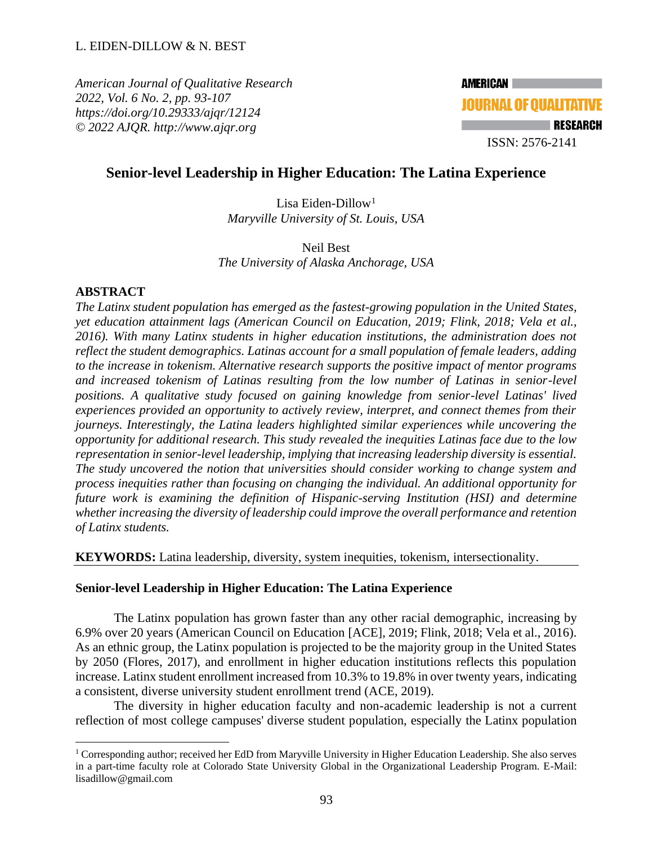*American Journal of Qualitative Research 2022, Vol. 6 No. 2, pp. 93-107 <https://doi.org/10.29333/ajqr/12124> © 2022 AJQR. http://www.ajqr.org*

# **Senior-level Leadership in Higher Education: The Latina Experience**

Lisa Eiden-Dillow<sup>1</sup> *Maryville University of St. Louis, USA*

Neil Best *The University of Alaska Anchorage, USA* 

# **ABSTRACT**

*The Latinx student population has emerged as the fastest-growing population in the United States, yet education attainment lags (American Council on Education, 2019; Flink, 2018; Vela et al., 2016). With many Latinx students in higher education institutions, the administration does not reflect the student demographics. Latinas account for a small population of female leaders, adding to the increase in tokenism. Alternative research supports the positive impact of mentor programs and increased tokenism of Latinas resulting from the low number of Latinas in senior-level positions. A qualitative study focused on gaining knowledge from senior-level Latinas' lived experiences provided an opportunity to actively review, interpret, and connect themes from their journeys. Interestingly, the Latina leaders highlighted similar experiences while uncovering the opportunity for additional research. This study revealed the inequities Latinas face due to the low representation in senior-level leadership, implying that increasing leadership diversity is essential. The study uncovered the notion that universities should consider working to change system and process inequities rather than focusing on changing the individual. An additional opportunity for future work is examining the definition of Hispanic-serving Institution (HSI) and determine whether increasing the diversity of leadership could improve the overall performance and retention of Latinx students.* 

**KEYWORDS:** Latina leadership, diversity, system inequities, tokenism, intersectionality.

# **Senior-level Leadership in Higher Education: The Latina Experience**

The Latinx population has grown faster than any other racial demographic, increasing by 6.9% over 20 years (American Council on Education [ACE], 2019; Flink, 2018; Vela et al., 2016). As an ethnic group, the Latinx population is projected to be the majority group in the United States by 2050 (Flores, 2017), and enrollment in higher education institutions reflects this population increase. Latinx student enrollment increased from 10.3% to 19.8% in over twenty years, indicating a consistent, diverse university student enrollment trend (ACE, 2019).

The diversity in higher education faculty and non-academic leadership is not a current reflection of most college campuses' diverse student population, especially the Latinx population

 $1$  Corresponding author; received her EdD from Maryville University in Higher Education Leadership. She also serves in a part-time faculty role at Colorado State University Global in the Organizational Leadership Program. E-Mail: [lisadillow@gmail.com](mailto:lisadillow@gmail.com)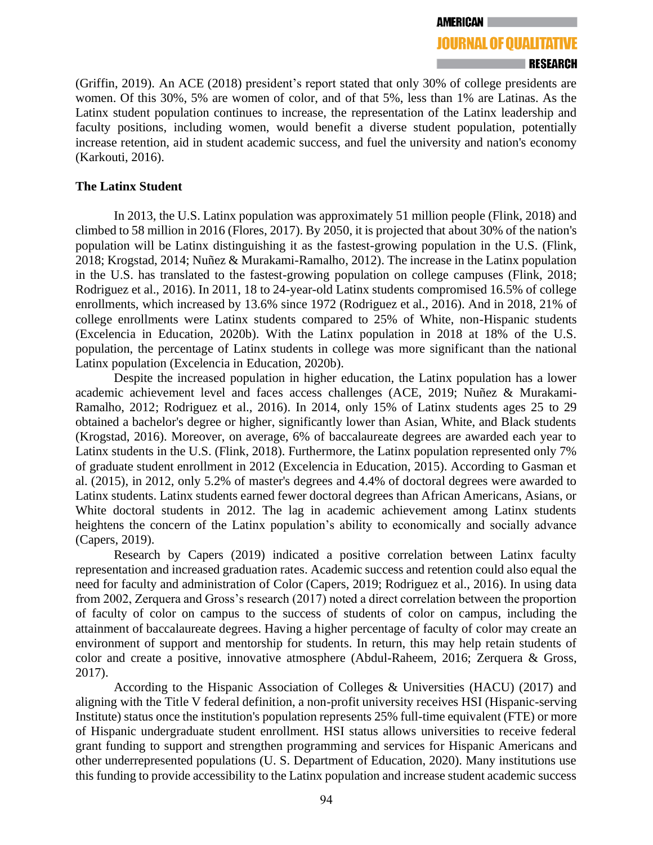(Griffin, 2019). An ACE (2018) president's report stated that only 30% of college presidents are women. Of this 30%, 5% are women of color, and of that 5%, less than 1% are Latinas. As the Latinx student population continues to increase, the representation of the Latinx leadership and faculty positions, including women, would benefit a diverse student population, potentially increase retention, aid in student academic success, and fuel the university and nation's economy (Karkouti, 2016).

# **The Latinx Student**

In 2013, the U.S. Latinx population was approximately 51 million people (Flink, 2018) and climbed to 58 million in 2016 (Flores, 2017). By 2050, it is projected that about 30% of the nation's population will be Latinx distinguishing it as the fastest-growing population in the U.S. (Flink, 2018; Krogstad, 2014; Nuñez & Murakami-Ramalho, 2012). The increase in the Latinx population in the U.S. has translated to the fastest-growing population on college campuses (Flink, 2018; Rodriguez et al., 2016). In 2011, 18 to 24-year-old Latinx students compromised 16.5% of college enrollments, which increased by 13.6% since 1972 (Rodriguez et al., 2016). And in 2018, 21% of college enrollments were Latinx students compared to 25% of White, non-Hispanic students (Excelencia in Education, 2020b). With the Latinx population in 2018 at 18% of the U.S. population, the percentage of Latinx students in college was more significant than the national Latinx population (Excelencia in Education, 2020b).

Despite the increased population in higher education, the Latinx population has a lower academic achievement level and faces access challenges (ACE, 2019; Nuñez & Murakami-Ramalho, 2012; Rodriguez et al., 2016). In 2014, only 15% of Latinx students ages 25 to 29 obtained a bachelor's degree or higher, significantly lower than Asian, White, and Black students (Krogstad, 2016). Moreover, on average, 6% of baccalaureate degrees are awarded each year to Latinx students in the U.S. (Flink, 2018). Furthermore, the Latinx population represented only 7% of graduate student enrollment in 2012 (Excelencia in Education, 2015). According to Gasman et al. (2015), in 2012, only 5.2% of master's degrees and 4.4% of doctoral degrees were awarded to Latinx students. Latinx students earned fewer doctoral degrees than African Americans, Asians, or White doctoral students in 2012. The lag in academic achievement among Latinx students heightens the concern of the Latinx population's ability to economically and socially advance (Capers, 2019).

Research by Capers (2019) indicated a positive correlation between Latinx faculty representation and increased graduation rates. Academic success and retention could also equal the need for faculty and administration of Color (Capers, 2019; Rodriguez et al., 2016). In using data from 2002, Zerquera and Gross's research (2017) noted a direct correlation between the proportion of faculty of color on campus to the success of students of color on campus, including the attainment of baccalaureate degrees. Having a higher percentage of faculty of color may create an environment of support and mentorship for students. In return, this may help retain students of color and create a positive, innovative atmosphere (Abdul-Raheem, 2016; Zerquera & Gross, 2017).

According to the Hispanic Association of Colleges & Universities (HACU) (2017) and aligning with the Title V federal definition, a non-profit university receives HSI (Hispanic-serving Institute) status once the institution's population represents 25% full-time equivalent (FTE) or more of Hispanic undergraduate student enrollment. HSI status allows universities to receive federal grant funding to support and strengthen programming and services for Hispanic Americans and other underrepresented populations (U. S. Department of Education, 2020). Many institutions use this funding to provide accessibility to the Latinx population and increase student academic success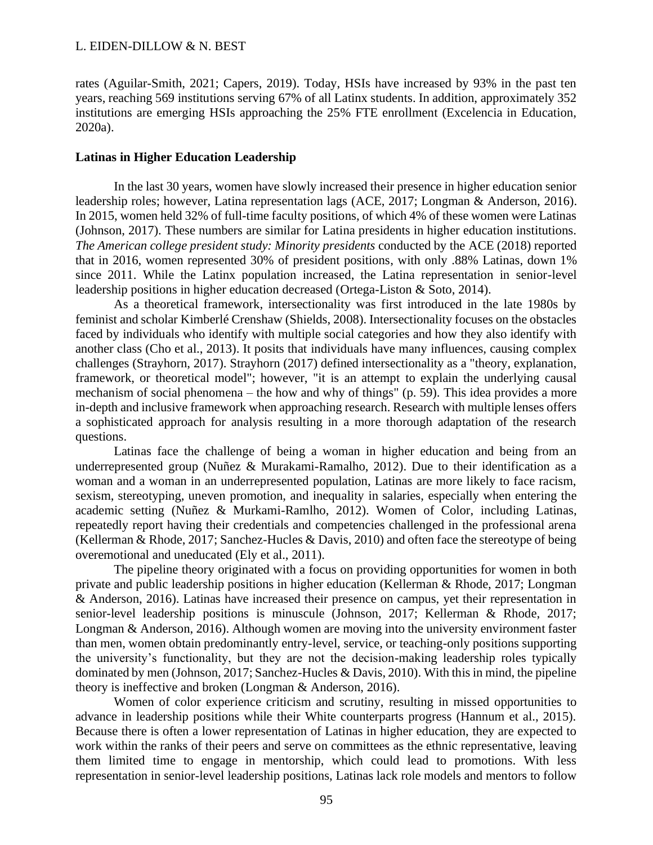rates (Aguilar-Smith, 2021; Capers, 2019). Today, HSIs have increased by 93% in the past ten years, reaching 569 institutions serving 67% of all Latinx students. In addition, approximately 352 institutions are emerging HSIs approaching the 25% FTE enrollment (Excelencia in Education, 2020a).

## **Latinas in Higher Education Leadership**

In the last 30 years, women have slowly increased their presence in higher education senior leadership roles; however, Latina representation lags (ACE, 2017; Longman & Anderson, 2016). In 2015, women held 32% of full-time faculty positions, of which 4% of these women were Latinas (Johnson, 2017). These numbers are similar for Latina presidents in higher education institutions. *The American college president study: Minority presidents* conducted by the ACE (2018) reported that in 2016, women represented 30% of president positions, with only .88% Latinas, down 1% since 2011. While the Latinx population increased, the Latina representation in senior-level leadership positions in higher education decreased (Ortega-Liston & Soto, 2014).

As a theoretical framework, intersectionality was first introduced in the late 1980s by feminist and scholar Kimberlé Crenshaw (Shields, 2008). Intersectionality focuses on the obstacles faced by individuals who identify with multiple social categories and how they also identify with another class (Cho et al., 2013). It posits that individuals have many influences, causing complex challenges (Strayhorn, 2017). Strayhorn (2017) defined intersectionality as a "theory, explanation, framework, or theoretical model"; however, "it is an attempt to explain the underlying causal mechanism of social phenomena – the how and why of things" (p. 59). This idea provides a more in-depth and inclusive framework when approaching research. Research with multiple lenses offers a sophisticated approach for analysis resulting in a more thorough adaptation of the research questions.

Latinas face the challenge of being a woman in higher education and being from an underrepresented group (Nuñez & Murakami-Ramalho, 2012). Due to their identification as a woman and a woman in an underrepresented population, Latinas are more likely to face racism, sexism, stereotyping, uneven promotion, and inequality in salaries, especially when entering the academic setting (Nuñez & Murkami-Ramlho, 2012). Women of Color, including Latinas, repeatedly report having their credentials and competencies challenged in the professional arena (Kellerman & Rhode, 2017; Sanchez-Hucles & Davis, 2010) and often face the stereotype of being overemotional and uneducated (Ely et al., 2011).

The pipeline theory originated with a focus on providing opportunities for women in both private and public leadership positions in higher education (Kellerman & Rhode, 2017; Longman & Anderson, 2016). Latinas have increased their presence on campus, yet their representation in senior-level leadership positions is minuscule (Johnson, 2017; Kellerman & Rhode, 2017; Longman & Anderson, 2016). Although women are moving into the university environment faster than men, women obtain predominantly entry-level, service, or teaching-only positions supporting the university's functionality, but they are not the decision-making leadership roles typically dominated by men (Johnson, 2017; Sanchez-Hucles & Davis, 2010). With this in mind, the pipeline theory is ineffective and broken (Longman & Anderson, 2016).

Women of color experience criticism and scrutiny, resulting in missed opportunities to advance in leadership positions while their White counterparts progress (Hannum et al., 2015). Because there is often a lower representation of Latinas in higher education, they are expected to work within the ranks of their peers and serve on committees as the ethnic representative, leaving them limited time to engage in mentorship, which could lead to promotions. With less representation in senior-level leadership positions, Latinas lack role models and mentors to follow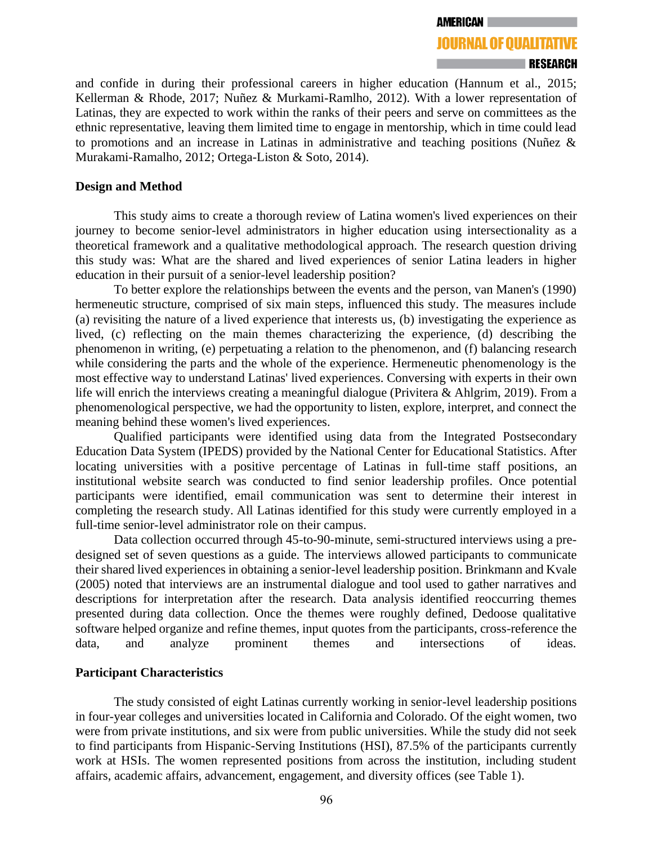#### **AMERICAN**

# **JOURNAL OF OUALITATIVE** RESEARCH

and confide in during their professional careers in higher education (Hannum et al., 2015; Kellerman & Rhode, 2017; Nuñez & Murkami-Ramlho, 2012). With a lower representation of Latinas, they are expected to work within the ranks of their peers and serve on committees as the ethnic representative, leaving them limited time to engage in mentorship, which in time could lead to promotions and an increase in Latinas in administrative and teaching positions (Nuñez & Murakami-Ramalho, 2012; Ortega-Liston & Soto, 2014).

### **Design and Method**

This study aims to create a thorough review of Latina women's lived experiences on their journey to become senior-level administrators in higher education using intersectionality as a theoretical framework and a qualitative methodological approach. The research question driving this study was: What are the shared and lived experiences of senior Latina leaders in higher education in their pursuit of a senior-level leadership position?

To better explore the relationships between the events and the person, van Manen's (1990) hermeneutic structure, comprised of six main steps, influenced this study. The measures include (a) revisiting the nature of a lived experience that interests us, (b) investigating the experience as lived, (c) reflecting on the main themes characterizing the experience, (d) describing the phenomenon in writing, (e) perpetuating a relation to the phenomenon, and (f) balancing research while considering the parts and the whole of the experience. Hermeneutic phenomenology is the most effective way to understand Latinas' lived experiences. Conversing with experts in their own life will enrich the interviews creating a meaningful dialogue (Privitera & Ahlgrim, 2019). From a phenomenological perspective, we had the opportunity to listen, explore, interpret, and connect the meaning behind these women's lived experiences.

Qualified participants were identified using data from the Integrated Postsecondary Education Data System (IPEDS) provided by the National Center for Educational Statistics. After locating universities with a positive percentage of Latinas in full-time staff positions, an institutional website search was conducted to find senior leadership profiles. Once potential participants were identified, email communication was sent to determine their interest in completing the research study. All Latinas identified for this study were currently employed in a full-time senior-level administrator role on their campus.

Data collection occurred through 45-to-90-minute, semi-structured interviews using a predesigned set of seven questions as a guide. The interviews allowed participants to communicate their shared lived experiences in obtaining a senior-level leadership position. Brinkmann and Kvale (2005) noted that interviews are an instrumental dialogue and tool used to gather narratives and descriptions for interpretation after the research. Data analysis identified reoccurring themes presented during data collection. Once the themes were roughly defined, Dedoose qualitative software helped organize and refine themes, input quotes from the participants, cross-reference the data, and analyze prominent themes and intersections of ideas.

#### **Participant Characteristics**

The study consisted of eight Latinas currently working in senior-level leadership positions in four-year colleges and universities located in California and Colorado. Of the eight women, two were from private institutions, and six were from public universities. While the study did not seek to find participants from Hispanic-Serving Institutions (HSI), 87.5% of the participants currently work at HSIs. The women represented positions from across the institution, including student affairs, academic affairs, advancement, engagement, and diversity offices (see Table 1).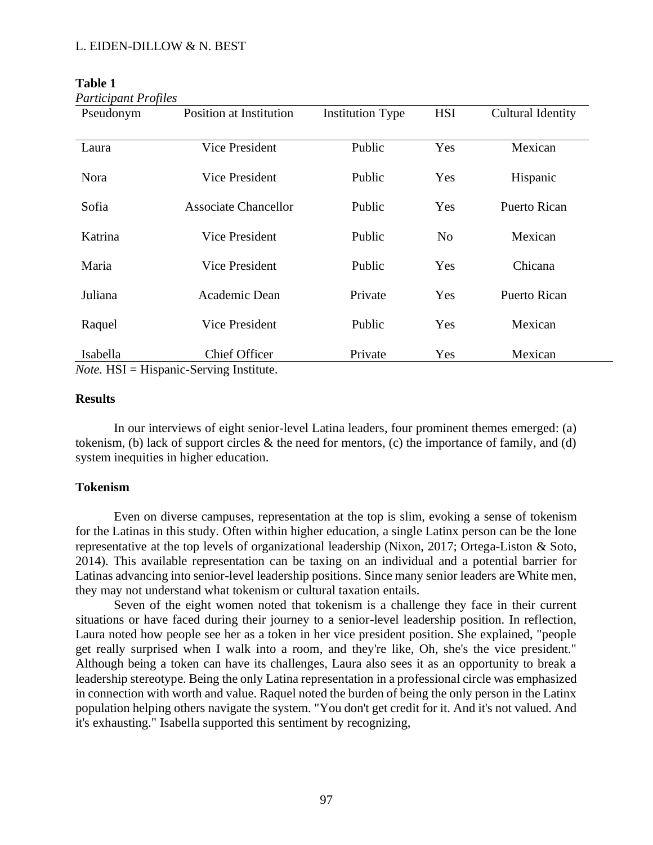| Pseudonym | <b>Position at Institution</b> | <b>Institution Type</b> | <b>HSI</b>     | Cultural Identity   |
|-----------|--------------------------------|-------------------------|----------------|---------------------|
| Laura     | Vice President                 | Public                  | Yes            | Mexican             |
| Nora      | Vice President                 | Public                  | Yes            | Hispanic            |
| Sofia     | <b>Associate Chancellor</b>    | Public                  | Yes            | <b>Puerto Rican</b> |
| Katrina   | <b>Vice President</b>          | Public                  | N <sub>o</sub> | Mexican             |
| Maria     | Vice President                 | Public                  | Yes            | Chicana             |
| Juliana   | Academic Dean                  | Private                 | Yes            | <b>Puerto Rican</b> |
| Raquel    | Vice President                 | Public                  | Yes            | Mexican             |
| Isabella  | <b>Chief Officer</b>           | Private                 | Yes            | Mexican             |

**Table 1** *Participant Profiles*

*Note.* HSI = Hispanic-Serving Institute.

## **Results**

In our interviews of eight senior-level Latina leaders, four prominent themes emerged: (a) tokenism, (b) lack of support circles & the need for mentors, (c) the importance of family, and (d) system inequities in higher education.

# **Tokenism**

Even on diverse campuses, representation at the top is slim, evoking a sense of tokenism for the Latinas in this study. Often within higher education, a single Latinx person can be the lone representative at the top levels of organizational leadership (Nixon, 2017; Ortega-Liston & Soto, 2014). This available representation can be taxing on an individual and a potential barrier for Latinas advancing into senior-level leadership positions. Since many senior leaders are White men, they may not understand what tokenism or cultural taxation entails.

Seven of the eight women noted that tokenism is a challenge they face in their current situations or have faced during their journey to a senior-level leadership position. In reflection, Laura noted how people see her as a token in her vice president position. She explained, "people get really surprised when I walk into a room, and they're like, Oh, she's the vice president." Although being a token can have its challenges, Laura also sees it as an opportunity to break a leadership stereotype. Being the only Latina representation in a professional circle was emphasized in connection with worth and value. Raquel noted the burden of being the only person in the Latinx population helping others navigate the system. "You don't get credit for it. And it's not valued. And it's exhausting." Isabella supported this sentiment by recognizing,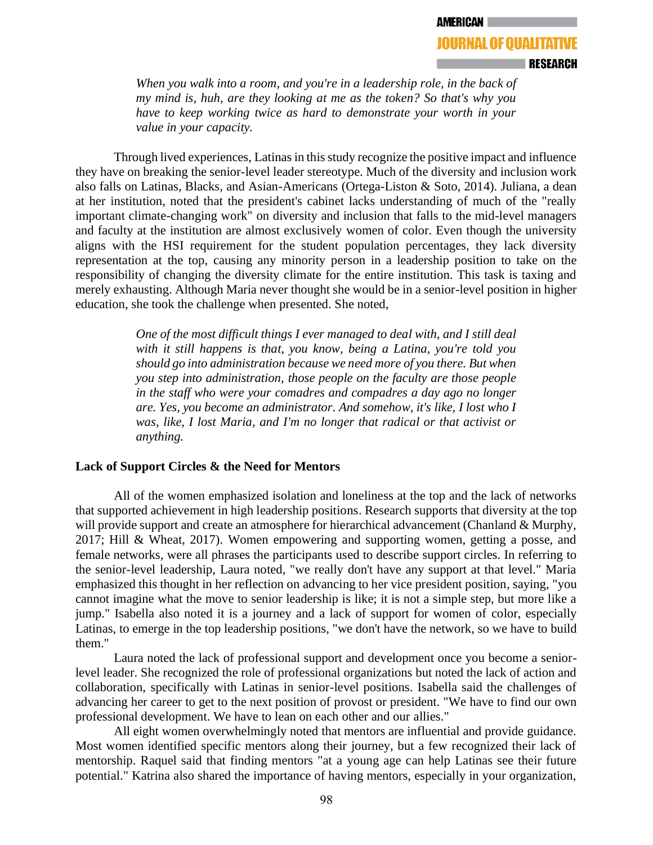*When you walk into a room, and you're in a leadership role, in the back of my mind is, huh, are they looking at me as the token? So that's why you have to keep working twice as hard to demonstrate your worth in your value in your capacity.* 

Through lived experiences, Latinas in this study recognize the positive impact and influence they have on breaking the senior-level leader stereotype. Much of the diversity and inclusion work also falls on Latinas, Blacks, and Asian-Americans (Ortega-Liston & Soto, 2014). Juliana, a dean at her institution, noted that the president's cabinet lacks understanding of much of the "really important climate-changing work" on diversity and inclusion that falls to the mid-level managers and faculty at the institution are almost exclusively women of color. Even though the university aligns with the HSI requirement for the student population percentages, they lack diversity representation at the top, causing any minority person in a leadership position to take on the responsibility of changing the diversity climate for the entire institution. This task is taxing and merely exhausting. Although Maria never thought she would be in a senior-level position in higher education, she took the challenge when presented. She noted,

> *One of the most difficult things I ever managed to deal with, and I still deal with it still happens is that, you know, being a Latina, you're told you should go into administration because we need more of you there. But when you step into administration, those people on the faculty are those people in the staff who were your comadres and compadres a day ago no longer are. Yes, you become an administrator. And somehow, it's like, I lost who I was, like, I lost Maria, and I'm no longer that radical or that activist or anything.*

# **Lack of Support Circles & the Need for Mentors**

All of the women emphasized isolation and loneliness at the top and the lack of networks that supported achievement in high leadership positions. Research supports that diversity at the top will provide support and create an atmosphere for hierarchical advancement (Chanland & Murphy, 2017; Hill & Wheat, 2017). Women empowering and supporting women, getting a posse, and female networks, were all phrases the participants used to describe support circles. In referring to the senior-level leadership, Laura noted, "we really don't have any support at that level." Maria emphasized this thought in her reflection on advancing to her vice president position, saying, "you cannot imagine what the move to senior leadership is like; it is not a simple step, but more like a jump." Isabella also noted it is a journey and a lack of support for women of color, especially Latinas, to emerge in the top leadership positions, "we don't have the network, so we have to build them."

Laura noted the lack of professional support and development once you become a seniorlevel leader. She recognized the role of professional organizations but noted the lack of action and collaboration, specifically with Latinas in senior-level positions. Isabella said the challenges of advancing her career to get to the next position of provost or president. "We have to find our own professional development. We have to lean on each other and our allies."

All eight women overwhelmingly noted that mentors are influential and provide guidance. Most women identified specific mentors along their journey, but a few recognized their lack of mentorship. Raquel said that finding mentors "at a young age can help Latinas see their future potential." Katrina also shared the importance of having mentors, especially in your organization,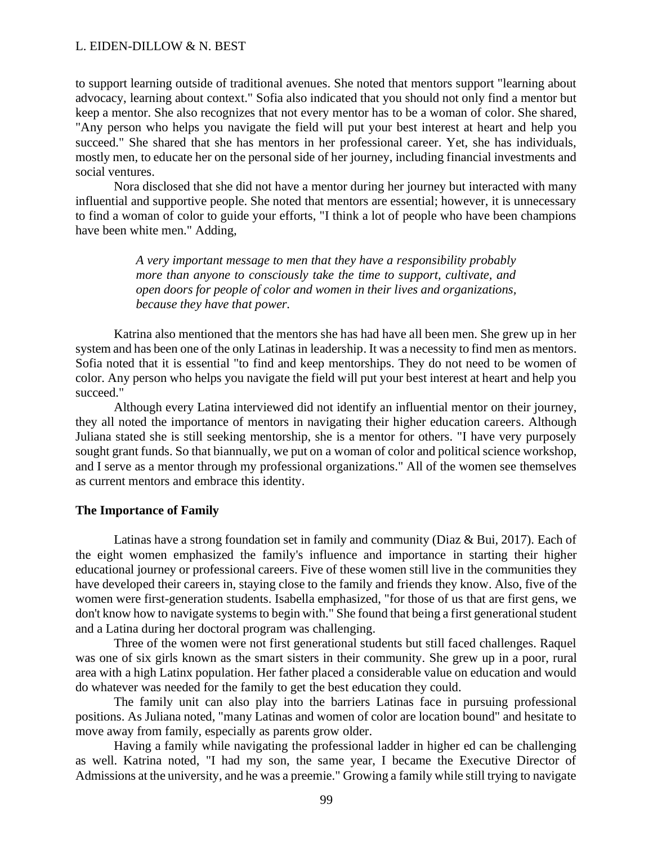to support learning outside of traditional avenues. She noted that mentors support "learning about advocacy, learning about context." Sofia also indicated that you should not only find a mentor but keep a mentor. She also recognizes that not every mentor has to be a woman of color. She shared, "Any person who helps you navigate the field will put your best interest at heart and help you succeed." She shared that she has mentors in her professional career. Yet, she has individuals, mostly men, to educate her on the personal side of her journey, including financial investments and social ventures.

Nora disclosed that she did not have a mentor during her journey but interacted with many influential and supportive people. She noted that mentors are essential; however, it is unnecessary to find a woman of color to guide your efforts, "I think a lot of people who have been champions have been white men." Adding,

> *A very important message to men that they have a responsibility probably more than anyone to consciously take the time to support, cultivate, and open doors for people of color and women in their lives and organizations, because they have that power.*

Katrina also mentioned that the mentors she has had have all been men. She grew up in her system and has been one of the only Latinas in leadership. It was a necessity to find men as mentors. Sofia noted that it is essential "to find and keep mentorships. They do not need to be women of color. Any person who helps you navigate the field will put your best interest at heart and help you succeed."

Although every Latina interviewed did not identify an influential mentor on their journey, they all noted the importance of mentors in navigating their higher education careers. Although Juliana stated she is still seeking mentorship, she is a mentor for others. "I have very purposely sought grant funds. So that biannually, we put on a woman of color and political science workshop, and I serve as a mentor through my professional organizations." All of the women see themselves as current mentors and embrace this identity.

#### **The Importance of Family**

Latinas have a strong foundation set in family and community (Diaz & Bui, 2017). Each of the eight women emphasized the family's influence and importance in starting their higher educational journey or professional careers. Five of these women still live in the communities they have developed their careers in, staying close to the family and friends they know. Also, five of the women were first-generation students. Isabella emphasized, "for those of us that are first gens, we don't know how to navigate systems to begin with." She found that being a first generational student and a Latina during her doctoral program was challenging.

Three of the women were not first generational students but still faced challenges. Raquel was one of six girls known as the smart sisters in their community. She grew up in a poor, rural area with a high Latinx population. Her father placed a considerable value on education and would do whatever was needed for the family to get the best education they could.

The family unit can also play into the barriers Latinas face in pursuing professional positions. As Juliana noted, "many Latinas and women of color are location bound" and hesitate to move away from family, especially as parents grow older.

Having a family while navigating the professional ladder in higher ed can be challenging as well. Katrina noted, "I had my son, the same year, I became the Executive Director of Admissions at the university, and he was a preemie." Growing a family while still trying to navigate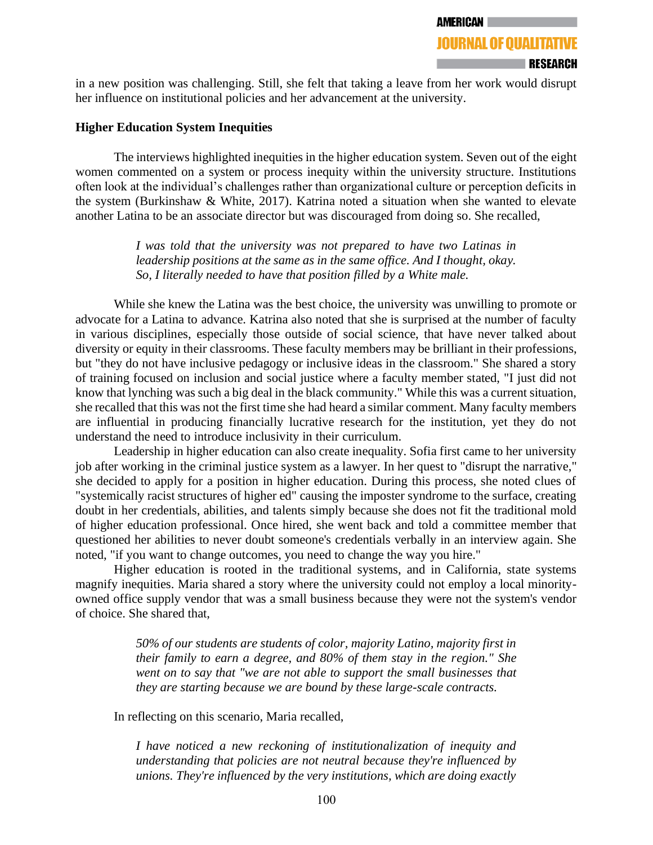in a new position was challenging. Still, she felt that taking a leave from her work would disrupt her influence on institutional policies and her advancement at the university.

# **Higher Education System Inequities**

The interviews highlighted inequities in the higher education system. Seven out of the eight women commented on a system or process inequity within the university structure. Institutions often look at the individual's challenges rather than organizational culture or perception deficits in the system (Burkinshaw & White, 2017). Katrina noted a situation when she wanted to elevate another Latina to be an associate director but was discouraged from doing so. She recalled,

> *I was told that the university was not prepared to have two Latinas in leadership positions at the same as in the same office. And I thought, okay. So, I literally needed to have that position filled by a White male.*

While she knew the Latina was the best choice, the university was unwilling to promote or advocate for a Latina to advance. Katrina also noted that she is surprised at the number of faculty in various disciplines, especially those outside of social science, that have never talked about diversity or equity in their classrooms. These faculty members may be brilliant in their professions, but "they do not have inclusive pedagogy or inclusive ideas in the classroom." She shared a story of training focused on inclusion and social justice where a faculty member stated, "I just did not know that lynching was such a big deal in the black community." While this was a current situation, she recalled that this was not the first time she had heard a similar comment. Many faculty members are influential in producing financially lucrative research for the institution, yet they do not understand the need to introduce inclusivity in their curriculum.

Leadership in higher education can also create inequality. Sofia first came to her university job after working in the criminal justice system as a lawyer. In her quest to "disrupt the narrative," she decided to apply for a position in higher education. During this process, she noted clues of "systemically racist structures of higher ed" causing the imposter syndrome to the surface, creating doubt in her credentials, abilities, and talents simply because she does not fit the traditional mold of higher education professional. Once hired, she went back and told a committee member that questioned her abilities to never doubt someone's credentials verbally in an interview again. She noted, "if you want to change outcomes, you need to change the way you hire."

Higher education is rooted in the traditional systems, and in California, state systems magnify inequities. Maria shared a story where the university could not employ a local minorityowned office supply vendor that was a small business because they were not the system's vendor of choice. She shared that,

> *50% of our students are students of color, majority Latino, majority first in their family to earn a degree, and 80% of them stay in the region." She went on to say that "we are not able to support the small businesses that they are starting because we are bound by these large-scale contracts.*

In reflecting on this scenario, Maria recalled,

*I have noticed a new reckoning of institutionalization of inequity and understanding that policies are not neutral because they're influenced by unions. They're influenced by the very institutions, which are doing exactly*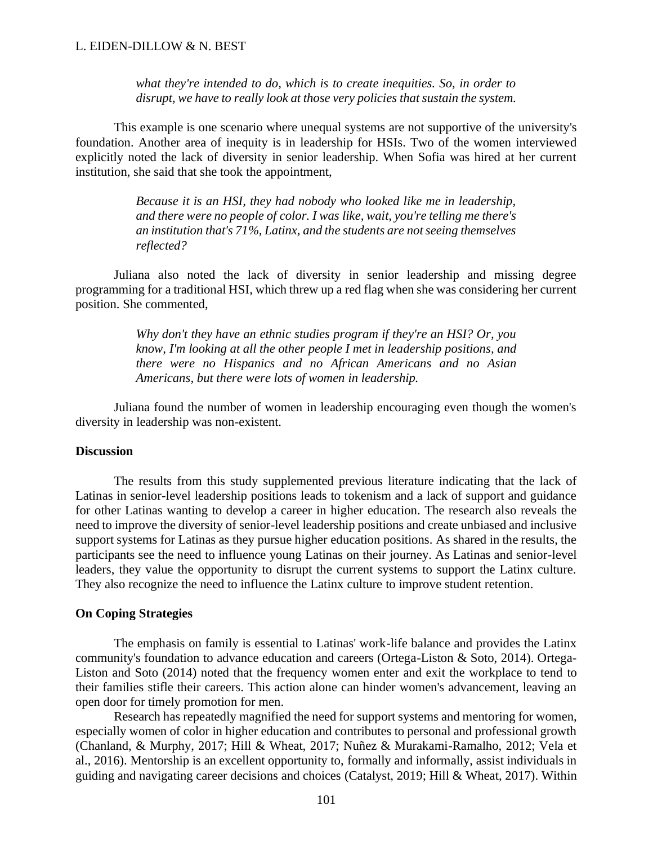*what they're intended to do, which is to create inequities. So, in order to disrupt, we have to really look at those very policies that sustain the system.*

This example is one scenario where unequal systems are not supportive of the university's foundation. Another area of inequity is in leadership for HSIs. Two of the women interviewed explicitly noted the lack of diversity in senior leadership. When Sofia was hired at her current institution, she said that she took the appointment,

> *Because it is an HSI, they had nobody who looked like me in leadership, and there were no people of color. I was like, wait, you're telling me there's an institution that's 71%, Latinx, and the students are not seeing themselves reflected?*

Juliana also noted the lack of diversity in senior leadership and missing degree programming for a traditional HSI, which threw up a red flag when she was considering her current position. She commented,

> *Why don't they have an ethnic studies program if they're an HSI? Or, you know, I'm looking at all the other people I met in leadership positions, and there were no Hispanics and no African Americans and no Asian Americans, but there were lots of women in leadership.*

Juliana found the number of women in leadership encouraging even though the women's diversity in leadership was non-existent.

#### **Discussion**

The results from this study supplemented previous literature indicating that the lack of Latinas in senior-level leadership positions leads to tokenism and a lack of support and guidance for other Latinas wanting to develop a career in higher education. The research also reveals the need to improve the diversity of senior-level leadership positions and create unbiased and inclusive support systems for Latinas as they pursue higher education positions. As shared in the results, the participants see the need to influence young Latinas on their journey. As Latinas and senior-level leaders, they value the opportunity to disrupt the current systems to support the Latinx culture. They also recognize the need to influence the Latinx culture to improve student retention.

#### **On Coping Strategies**

The emphasis on family is essential to Latinas' work-life balance and provides the Latinx community's foundation to advance education and careers (Ortega-Liston & Soto, 2014). Ortega-Liston and Soto (2014) noted that the frequency women enter and exit the workplace to tend to their families stifle their careers. This action alone can hinder women's advancement, leaving an open door for timely promotion for men.

Research has repeatedly magnified the need for support systems and mentoring for women, especially women of color in higher education and contributes to personal and professional growth (Chanland, & Murphy, 2017; Hill & Wheat, 2017; Nuñez & Murakami-Ramalho, 2012; Vela et al., 2016). Mentorship is an excellent opportunity to, formally and informally, assist individuals in guiding and navigating career decisions and choices (Catalyst, 2019; Hill & Wheat, 2017). Within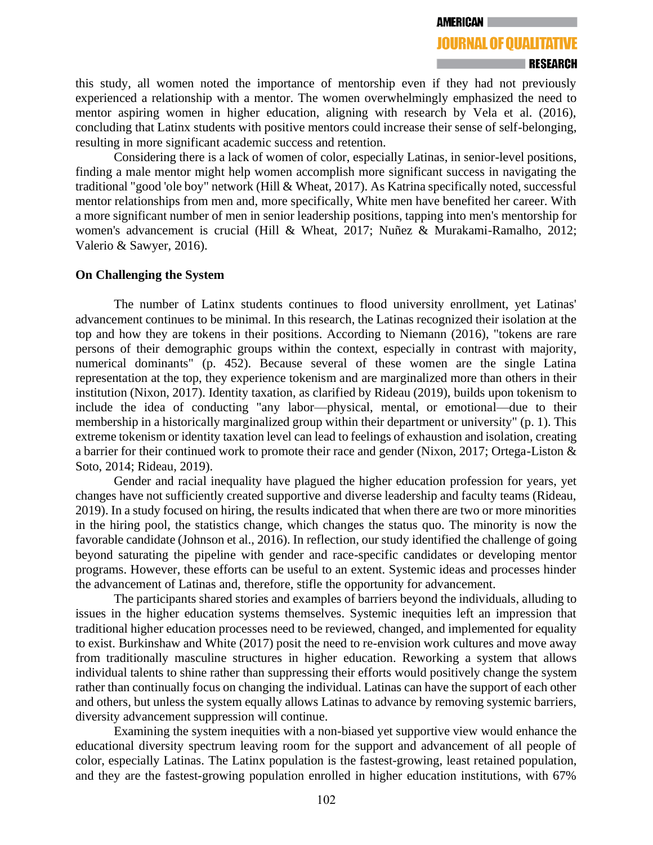this study, all women noted the importance of mentorship even if they had not previously experienced a relationship with a mentor. The women overwhelmingly emphasized the need to mentor aspiring women in higher education, aligning with research by Vela et al. (2016), concluding that Latinx students with positive mentors could increase their sense of self-belonging, resulting in more significant academic success and retention.

Considering there is a lack of women of color, especially Latinas, in senior-level positions, finding a male mentor might help women accomplish more significant success in navigating the traditional "good 'ole boy" network (Hill & Wheat, 2017). As Katrina specifically noted, successful mentor relationships from men and, more specifically, White men have benefited her career. With a more significant number of men in senior leadership positions, tapping into men's mentorship for women's advancement is crucial (Hill & Wheat, 2017; Nuñez & Murakami-Ramalho, 2012; Valerio & Sawyer, 2016).

## **On Challenging the System**

The number of Latinx students continues to flood university enrollment, yet Latinas' advancement continues to be minimal. In this research, the Latinas recognized their isolation at the top and how they are tokens in their positions. According to Niemann (2016), "tokens are rare persons of their demographic groups within the context, especially in contrast with majority, numerical dominants" (p. 452). Because several of these women are the single Latina representation at the top, they experience tokenism and are marginalized more than others in their institution (Nixon, 2017). Identity taxation, as clarified by Rideau (2019), builds upon tokenism to include the idea of conducting "any labor—physical, mental, or emotional—due to their membership in a historically marginalized group within their department or university" (p. 1). This extreme tokenism or identity taxation level can lead to feelings of exhaustion and isolation, creating a barrier for their continued work to promote their race and gender (Nixon, 2017; Ortega-Liston & Soto, 2014; Rideau, 2019).

Gender and racial inequality have plagued the higher education profession for years, yet changes have not sufficiently created supportive and diverse leadership and faculty teams (Rideau, 2019). In a study focused on hiring, the results indicated that when there are two or more minorities in the hiring pool, the statistics change, which changes the status quo. The minority is now the favorable candidate (Johnson et al., 2016). In reflection, our study identified the challenge of going beyond saturating the pipeline with gender and race-specific candidates or developing mentor programs. However, these efforts can be useful to an extent. Systemic ideas and processes hinder the advancement of Latinas and, therefore, stifle the opportunity for advancement.

The participants shared stories and examples of barriers beyond the individuals, alluding to issues in the higher education systems themselves. Systemic inequities left an impression that traditional higher education processes need to be reviewed, changed, and implemented for equality to exist. Burkinshaw and White (2017) posit the need to re-envision work cultures and move away from traditionally masculine structures in higher education. Reworking a system that allows individual talents to shine rather than suppressing their efforts would positively change the system rather than continually focus on changing the individual. Latinas can have the support of each other and others, but unless the system equally allows Latinas to advance by removing systemic barriers, diversity advancement suppression will continue.

Examining the system inequities with a non-biased yet supportive view would enhance the educational diversity spectrum leaving room for the support and advancement of all people of color, especially Latinas. The Latinx population is the fastest-growing, least retained population, and they are the fastest-growing population enrolled in higher education institutions, with 67%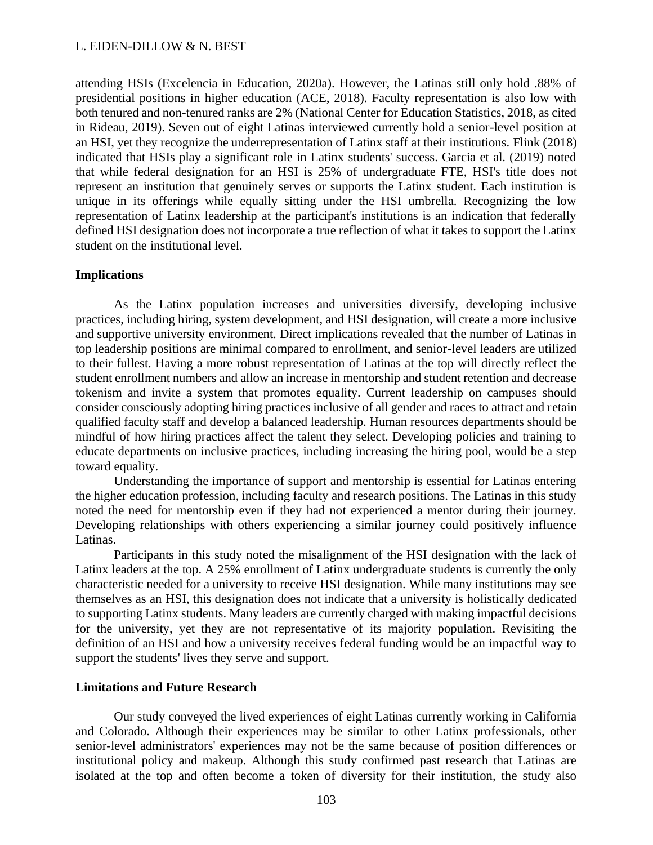attending HSIs (Excelencia in Education, 2020a). However, the Latinas still only hold .88% of presidential positions in higher education (ACE, 2018). Faculty representation is also low with both tenured and non-tenured ranks are 2% (National Center for Education Statistics, 2018, as cited in Rideau, 2019). Seven out of eight Latinas interviewed currently hold a senior-level position at an HSI, yet they recognize the underrepresentation of Latinx staff at their institutions. Flink (2018) indicated that HSIs play a significant role in Latinx students' success. Garcia et al. (2019) noted that while federal designation for an HSI is 25% of undergraduate FTE, HSI's title does not represent an institution that genuinely serves or supports the Latinx student. Each institution is unique in its offerings while equally sitting under the HSI umbrella. Recognizing the low representation of Latinx leadership at the participant's institutions is an indication that federally defined HSI designation does not incorporate a true reflection of what it takes to support the Latinx student on the institutional level.

#### **Implications**

As the Latinx population increases and universities diversify, developing inclusive practices, including hiring, system development, and HSI designation, will create a more inclusive and supportive university environment. Direct implications revealed that the number of Latinas in top leadership positions are minimal compared to enrollment, and senior-level leaders are utilized to their fullest. Having a more robust representation of Latinas at the top will directly reflect the student enrollment numbers and allow an increase in mentorship and student retention and decrease tokenism and invite a system that promotes equality. Current leadership on campuses should consider consciously adopting hiring practices inclusive of all gender and races to attract and retain qualified faculty staff and develop a balanced leadership. Human resources departments should be mindful of how hiring practices affect the talent they select. Developing policies and training to educate departments on inclusive practices, including increasing the hiring pool, would be a step toward equality.

Understanding the importance of support and mentorship is essential for Latinas entering the higher education profession, including faculty and research positions. The Latinas in this study noted the need for mentorship even if they had not experienced a mentor during their journey. Developing relationships with others experiencing a similar journey could positively influence Latinas.

Participants in this study noted the misalignment of the HSI designation with the lack of Latinx leaders at the top. A 25% enrollment of Latinx undergraduate students is currently the only characteristic needed for a university to receive HSI designation. While many institutions may see themselves as an HSI, this designation does not indicate that a university is holistically dedicated to supporting Latinx students. Many leaders are currently charged with making impactful decisions for the university, yet they are not representative of its majority population. Revisiting the definition of an HSI and how a university receives federal funding would be an impactful way to support the students' lives they serve and support.

#### **Limitations and Future Research**

Our study conveyed the lived experiences of eight Latinas currently working in California and Colorado. Although their experiences may be similar to other Latinx professionals, other senior-level administrators' experiences may not be the same because of position differences or institutional policy and makeup. Although this study confirmed past research that Latinas are isolated at the top and often become a token of diversity for their institution, the study also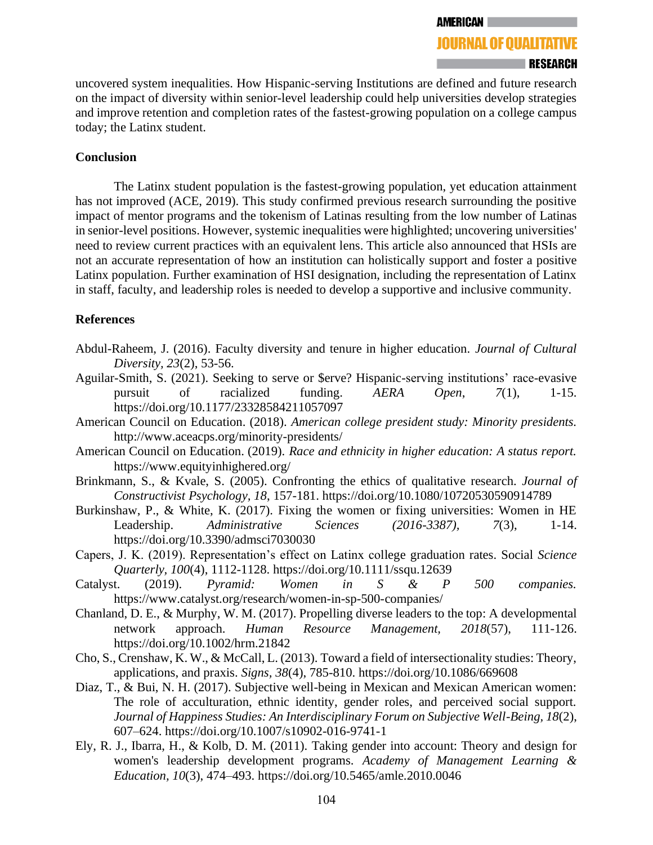uncovered system inequalities. How Hispanic-serving Institutions are defined and future research on the impact of diversity within senior-level leadership could help universities develop strategies and improve retention and completion rates of the fastest-growing population on a college campus today; the Latinx student.

# **Conclusion**

The Latinx student population is the fastest-growing population, yet education attainment has not improved (ACE, 2019). This study confirmed previous research surrounding the positive impact of mentor programs and the tokenism of Latinas resulting from the low number of Latinas in senior-level positions. However, systemic inequalities were highlighted; uncovering universities' need to review current practices with an equivalent lens. This article also announced that HSIs are not an accurate representation of how an institution can holistically support and foster a positive Latinx population. Further examination of HSI designation, including the representation of Latinx in staff, faculty, and leadership roles is needed to develop a supportive and inclusive community.

# **References**

- Abdul-Raheem, J. (2016). Faculty diversity and tenure in higher education. *Journal of Cultural Diversity, 23*(2), 53-56.
- Aguilar-Smith, S. (2021). Seeking to serve or \$erve? Hispanic-serving institutions' race-evasive pursuit of racialized funding. *AERA Open*, *7*(1), 1-15. https://doi.org/10.1177/23328584211057097
- American Council on Education. (2018). *American college president study: Minority presidents.* <http://www.aceacps.org/minority-presidents/>
- American Council on Education. (2019). *Race and ethnicity in higher education: A status report.* <https://www.equityinhighered.org/>
- Brinkmann, S., & Kvale, S. (2005). Confronting the ethics of qualitative research. *Journal of Constructivist Psychology, 18*, 157-181. https://doi.org/10.1080/10720530590914789
- Burkinshaw, P., & White, K. (2017). Fixing the women or fixing universities: Women in HE Leadership. *Administrative Sciences (2016-3387), 7*(3), 1-14. <https://doi.org/10.3390/admsci7030030>
- Capers, J. K. (2019). Representation's effect on Latinx college graduation rates. Social *Science Quarterly, 100*(4), 1112-1128. https://doi.org/10.1111/ssqu.12639
- Catalyst. (2019). *Pyramid: Women in S & P 500 companies.* <https://www.catalyst.org/research/women-in-sp-500-companies/>
- Chanland, D. E., & Murphy, W. M. (2017). Propelling diverse leaders to the top: A developmental network approach. *Human Resource Management, 2018*(57), 111-126. https://doi.org/10.1002/hrm.21842
- Cho, S., Crenshaw, K. W., & McCall, L. (2013). Toward a field of intersectionality studies: Theory, applications, and praxis. *Signs, 38*(4), 785-810.<https://doi.org/10.1086/669608>
- Diaz, T., & Bui, N. H. (2017). Subjective well-being in Mexican and Mexican American women: The role of acculturation, ethnic identity, gender roles, and perceived social support. *Journal of Happiness Studies: An Interdisciplinary Forum on Subjective Well-Being, 18*(2), 607–624.<https://doi.org/10.1007/s10902-016-9741-1>
- Ely, R. J., Ibarra, H., & Kolb, D. M. (2011). Taking gender into account: Theory and design for women's leadership development programs. *Academy of Management Learning & Education, 10*(3), 474–493.<https://doi.org/10.5465/amle.2010.0046>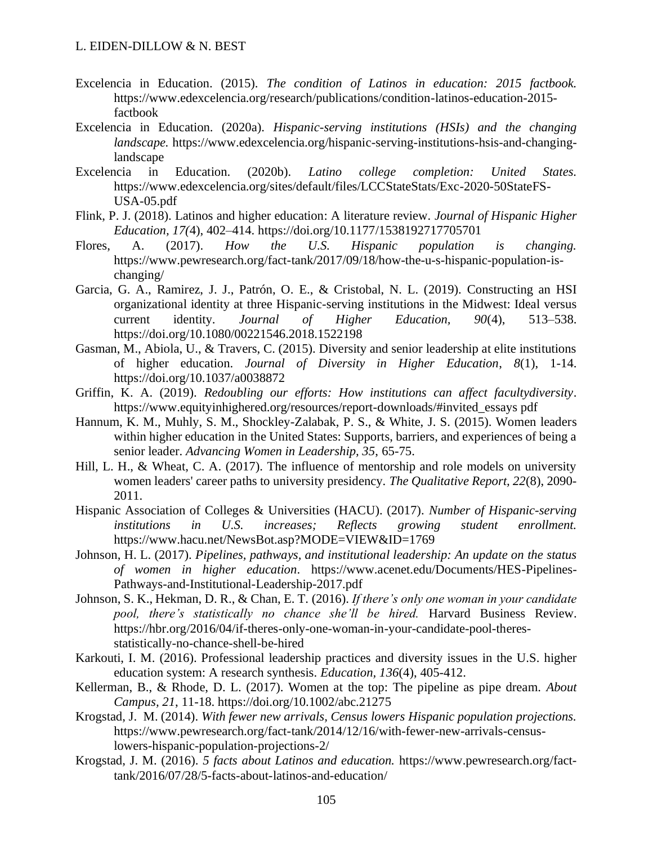- Excelencia in Education. (2015). *The condition of Latinos in education: 2015 factbook.* [https://www.edexcelencia.org/research/publications/condition-latinos-education-2015](https://www.edexcelencia.org/research/publications/condition-latinos-education-2015-factbook) [factbook](https://www.edexcelencia.org/research/publications/condition-latinos-education-2015-factbook)
- Excelencia in Education. (2020a). *Hispanic-serving institutions (HSIs) and the changing landscape.* [https://www.edexcelencia.org/hispanic-serving-institutions-hsis-and-changing](https://www.edexcelencia.org/hispanic-serving-institutions-hsis-and-changing-landscape)[landscape](https://www.edexcelencia.org/hispanic-serving-institutions-hsis-and-changing-landscape)
- Excelencia in Education. (2020b). *Latino college completion: United States.* [https://www.edexcelencia.org/sites/default/files/LCCStateStats/Exc-2020-50StateFS-](https://www.edexcelencia.org/sites/default/files/LCCStateStats/Exc-2020-50StateFS-USA-05.pdf)[USA-05.pdf](https://www.edexcelencia.org/sites/default/files/LCCStateStats/Exc-2020-50StateFS-USA-05.pdf)
- Flink, P. J. (2018). Latinos and higher education: A literature review. *Journal of Hispanic Higher Education, 17(*4), 402–414.<https://doi.org/10.1177/1538192717705701>
- Flores, A. (2017). *How the U.S. Hispanic population is changing.* [https://www.pewresearch.org/fact-tank/2017/09/18/how-the-u-s-hispanic-population-is](https://www.pewresearch.org/fact-tank/2017/09/18/how-the-u-s-hispanic-population-is-changing/)[changing/](https://www.pewresearch.org/fact-tank/2017/09/18/how-the-u-s-hispanic-population-is-changing/)
- Garcia, G. A., Ramirez, J. J., Patrón, O. E., & Cristobal, N. L. (2019). Constructing an HSI organizational identity at three Hispanic-serving institutions in the Midwest: Ideal versus current identity. *Journal of Higher Education, 90*(4), 513–538. <https://doi.org/10.1080/00221546.2018.1522198>
- Gasman, M., Abiola, U., & Travers, C. (2015). Diversity and senior leadership at elite institutions of higher education. *Journal of Diversity in Higher Education*, *8*(1), 1-14. <https://doi.org/10.1037/a0038872>
- Griffin, K. A. (2019). *Redoubling our efforts: How institutions can affect facultydiversity*. [https://www.equityinhighered.org/resources/report-downloads/#invited\\_essays pdf](https://www.equityinhighered.org/resources/report-downloads/%23invited_essays%20pdf)
- Hannum, K. M., Muhly, S. M., Shockley-Zalabak, P. S., & White, J. S. (2015). Women leaders within higher education in the United States: Supports, barriers, and experiences of being a senior leader. *Advancing Women in Leadership, 35*, 65-75.
- Hill, L. H., & Wheat, C. A. (2017). The influence of mentorship and role models on university women leaders' career paths to university presidency. *The Qualitative Report, 22*(8), 2090- 2011.
- Hispanic Association of Colleges & Universities (HACU). (2017). *Number of Hispanic-serving institutions in U.S. increases; Reflects growing student enrollment.* <https://www.hacu.net/NewsBot.asp?MODE=VIEW&ID=1769>
- Johnson, H. L. (2017). *Pipelines, pathways, and institutional leadership: An update on the status of women in higher education*. [https://www.acenet.edu/Documents/HES-Pipelines-](https://www.acenet.edu/Documents/HES-Pipelines-Pathways-and-Institutional-Leadership-2017.pdf)[Pathways-and-Institutional-Leadership-2017.pdf](https://www.acenet.edu/Documents/HES-Pipelines-Pathways-and-Institutional-Leadership-2017.pdf)
- Johnson, S. K., Hekman, D. R., & Chan, E. T. (2016). *If there's only one woman in your candidate pool, there's statistically no chance she'll be hired.* Harvard Business Review. https://hbr.org/2016/04/if-theres-only-one-woman-in-your-candidate-pool-theresstatistically-no-chance-shell-be-hired
- Karkouti, I. M. (2016). Professional leadership practices and diversity issues in the U.S. higher education system: A research synthesis. *Education, 136*(4), 405-412.
- Kellerman, B., & Rhode, D. L. (2017). Women at the top: The pipeline as pipe dream. *About Campus, 21*, 11-18. https://doi.org/10.1002/abc.21275
- Krogstad, J. M. (2014). *With fewer new arrivals, Census lowers Hispanic population projections.* [https://www.pewresearch.org/fact-tank/2014/12/16/with-fewer-new-arrivals-census](https://www.pewresearch.org/fact-tank/2014/12/16/with-fewer-new-arrivals-census-lowers-hispanic-population-projections-2/)[lowers-hispanic-population-projections-2/](https://www.pewresearch.org/fact-tank/2014/12/16/with-fewer-new-arrivals-census-lowers-hispanic-population-projections-2/)
- Krogstad, J. M. (2016). *5 facts about Latinos and education.* [https://www.pewresearch.org/fact](https://www.pewresearch.org/fact-tank/2016/07/28/5-facts-about-latinos-and-education/)[tank/2016/07/28/5-facts-about-latinos-and-education/](https://www.pewresearch.org/fact-tank/2016/07/28/5-facts-about-latinos-and-education/)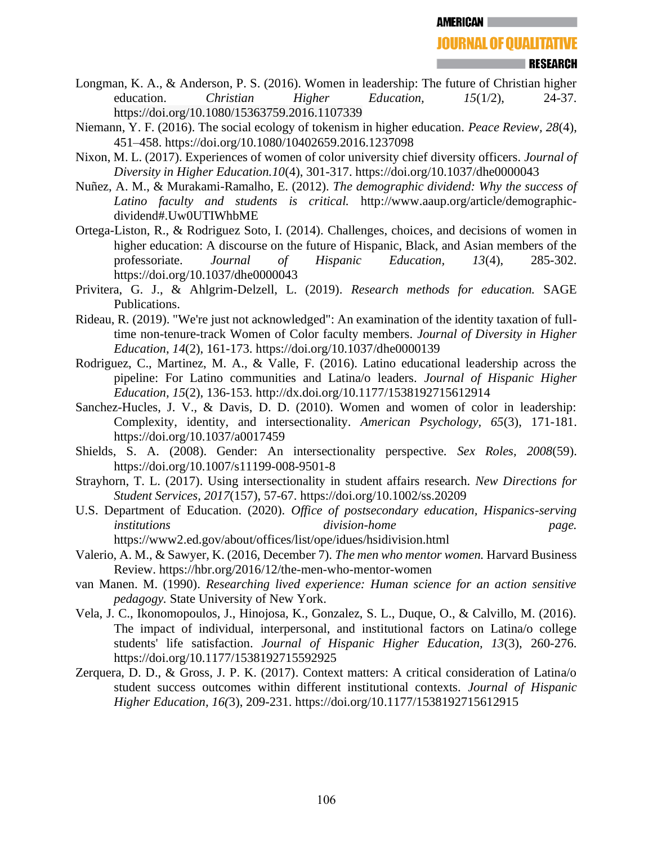- Longman, K. A., & Anderson, P. S. (2016). Women in leadership: The future of Christian higher education. *Christian Higher Education*, 15(1/2), 24-37. https://doi.org/10.1080/15363759.2016.1107339
- Niemann, Y. F. (2016). The social ecology of tokenism in higher education. *Peace Review, 28*(4), 451–458.<https://doi.org/10.1080/10402659.2016.1237098>
- Nixon, M. L. (2017). Experiences of women of color university chief diversity officers. *Journal of Diversity in Higher Education.10*(4), 301-317.<https://doi.org/10.1037/dhe0000043>
- Nuñez, A. M., & Murakami-Ramalho, E. (2012). *The demographic dividend: Why the success of Latino faculty and students is critical.* [http://www.aaup.org/article/demographic](http://www.aaup.org/article/demographic-dividend%23.Uw0UTIWhbME)[dividend#.Uw0UTIWhbME](http://www.aaup.org/article/demographic-dividend%23.Uw0UTIWhbME)
- Ortega-Liston, R., & Rodriguez Soto, I. (2014). Challenges, choices, and decisions of women in higher education: A discourse on the future of Hispanic, Black, and Asian members of the professoriate. *Journal of Hispanic Education, 13*(4), 285-302. <https://doi.org/10.1037/dhe0000043>
- Privitera, G. J., & Ahlgrim-Delzell, L. (2019). *Research methods for education.* SAGE Publications.
- Rideau, R. (2019). "We're just not acknowledged": An examination of the identity taxation of fulltime non-tenure-track Women of Color faculty members. *Journal of Diversity in Higher Education*, *14*(2), 161-173.<https://doi.org/10.1037/dhe0000139>
- Rodriguez, C., Martinez, M. A., & Valle, F. (2016). Latino educational leadership across the pipeline: For Latino communities and Latina/o leaders. *Journal of Hispanic Higher Education, 15*(2), 136-153. [http://dx.doi.org/10.1177/1538192715612914](http://dx.doi.org/10.1177/1538192715612914 )
- Sanchez-Hucles, J. V., & Davis, D. D. (2010). Women and women of color in leadership: Complexity, identity, and intersectionality. *American Psychology, 65*(3), 171-181. https://doi.org/10.1037/a0017459
- Shields, S. A. (2008). Gender: An intersectionality perspective. *Sex Roles, 2008*(59). https://doi.org/10.1007/s11199-008-9501-8
- Strayhorn, T. L. (2017). Using intersectionality in student affairs research. *New Directions for Student Services, 2017*(157), 57-67.<https://doi.org/10.1002/ss.20209>
- U.S. Department of Education. (2020). *Office of postsecondary education, Hispanics-serving institutions division-home page.* <https://www2.ed.gov/about/offices/list/ope/idues/hsidivision.html>
- Valerio, A. M., & Sawyer, K. (2016, December 7). *The men who mentor women.* Harvard Business Review.<https://hbr.org/2016/12/the-men-who-mentor-women>
- van Manen. M. (1990). *Researching lived experience: Human science for an action sensitive pedagogy.* State University of New York.
- Vela, J. C., Ikonomopoulos, J., Hinojosa, K., Gonzalez, S. L., Duque, O., & Calvillo, M. (2016). The impact of individual, interpersonal, and institutional factors on Latina/o college students' life satisfaction. *Journal of Hispanic Higher Education, 13*(3), 260-276. [https://doi.org/10.1177/1538192715592925](https://doi.org/10.1177/1538192715592925 )
- Zerquera, D. D., & Gross, J. P. K. (2017). Context matters: A critical consideration of Latina/o student success outcomes within different institutional contexts. *Journal of Hispanic Higher Education, 16(*3), 209-231. [https://doi.org/10.1177/1538192715612915](http://dx.doi.org/10.1177/1538192715612915 )